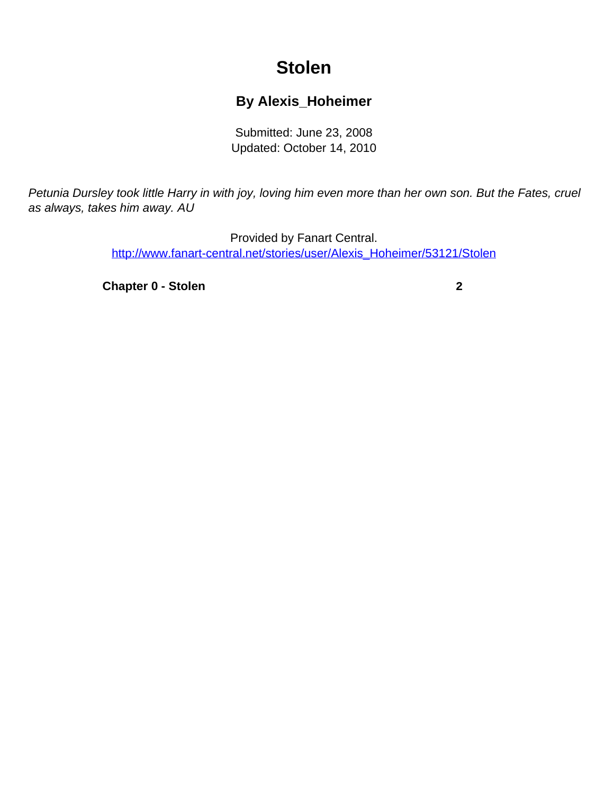## **Stolen**

## **By Alexis\_Hoheimer**

Submitted: June 23, 2008 Updated: October 14, 2010

<span id="page-0-0"></span>Petunia Dursley took little Harry in with joy, loving him even more than her own son. But the Fates, cruel as always, takes him away. AU

> Provided by Fanart Central. [http://www.fanart-central.net/stories/user/Alexis\\_Hoheimer/53121/Stolen](#page-0-0)

**[Chapter 0 - Stolen](#page-1-0)** [2](#page-1-0)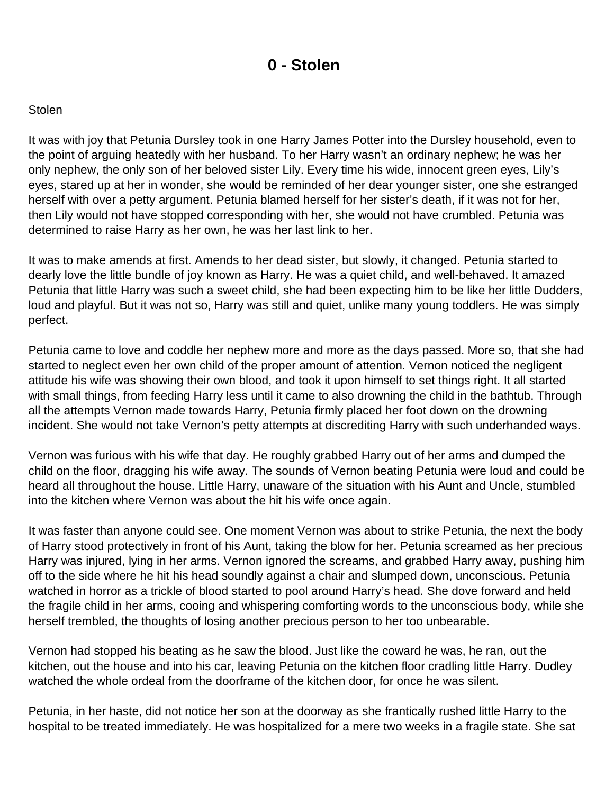## **0 - Stolen**

## <span id="page-1-0"></span>**Stolen**

It was with joy that Petunia Dursley took in one Harry James Potter into the Dursley household, even to the point of arguing heatedly with her husband. To her Harry wasn't an ordinary nephew; he was her only nephew, the only son of her beloved sister Lily. Every time his wide, innocent green eyes, Lily's eyes, stared up at her in wonder, she would be reminded of her dear younger sister, one she estranged herself with over a petty argument. Petunia blamed herself for her sister's death, if it was not for her, then Lily would not have stopped corresponding with her, she would not have crumbled. Petunia was determined to raise Harry as her own, he was her last link to her.

It was to make amends at first. Amends to her dead sister, but slowly, it changed. Petunia started to dearly love the little bundle of joy known as Harry. He was a quiet child, and well-behaved. It amazed Petunia that little Harry was such a sweet child, she had been expecting him to be like her little Dudders, loud and playful. But it was not so, Harry was still and quiet, unlike many young toddlers. He was simply perfect.

Petunia came to love and coddle her nephew more and more as the days passed. More so, that she had started to neglect even her own child of the proper amount of attention. Vernon noticed the negligent attitude his wife was showing their own blood, and took it upon himself to set things right. It all started with small things, from feeding Harry less until it came to also drowning the child in the bathtub. Through all the attempts Vernon made towards Harry, Petunia firmly placed her foot down on the drowning incident. She would not take Vernon's petty attempts at discrediting Harry with such underhanded ways.

Vernon was furious with his wife that day. He roughly grabbed Harry out of her arms and dumped the child on the floor, dragging his wife away. The sounds of Vernon beating Petunia were loud and could be heard all throughout the house. Little Harry, unaware of the situation with his Aunt and Uncle, stumbled into the kitchen where Vernon was about the hit his wife once again.

It was faster than anyone could see. One moment Vernon was about to strike Petunia, the next the body of Harry stood protectively in front of his Aunt, taking the blow for her. Petunia screamed as her precious Harry was injured, lying in her arms. Vernon ignored the screams, and grabbed Harry away, pushing him off to the side where he hit his head soundly against a chair and slumped down, unconscious. Petunia watched in horror as a trickle of blood started to pool around Harry's head. She dove forward and held the fragile child in her arms, cooing and whispering comforting words to the unconscious body, while she herself trembled, the thoughts of losing another precious person to her too unbearable.

Vernon had stopped his beating as he saw the blood. Just like the coward he was, he ran, out the kitchen, out the house and into his car, leaving Petunia on the kitchen floor cradling little Harry. Dudley watched the whole ordeal from the doorframe of the kitchen door, for once he was silent.

Petunia, in her haste, did not notice her son at the doorway as she frantically rushed little Harry to the hospital to be treated immediately. He was hospitalized for a mere two weeks in a fragile state. She sat